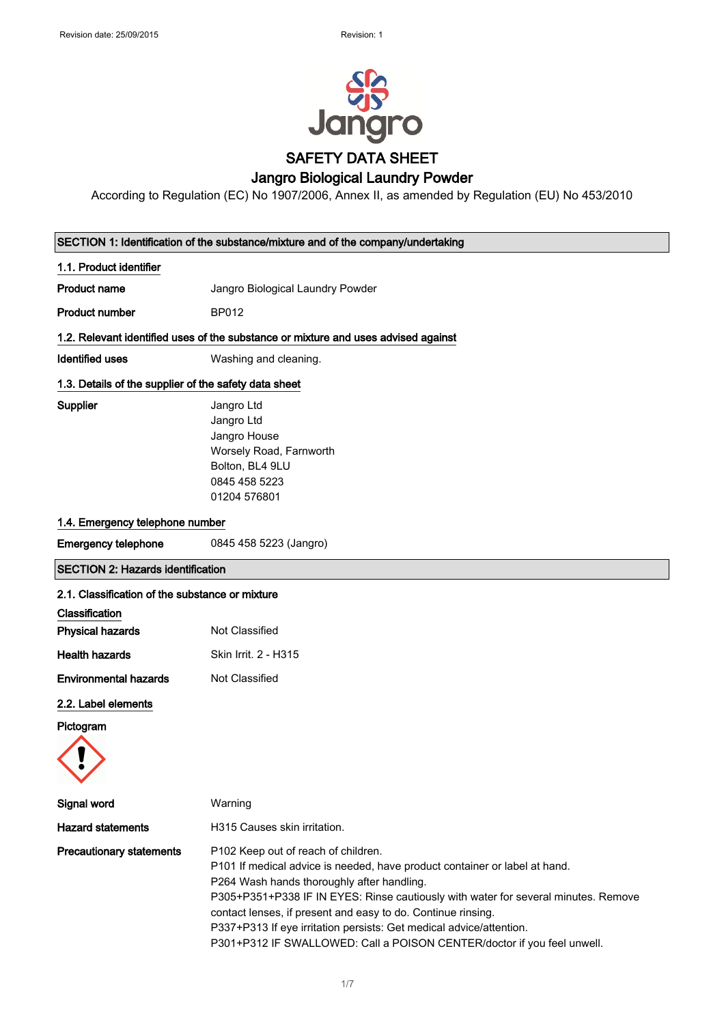

According to Regulation (EC) No 1907/2006, Annex II, as amended by Regulation (EU) No 453/2010

# SECTION 1: Identification of the substance/mixture and of the company/undertaking 1.1. Product identifier **Product name** Jangro Biological Laundry Powder Product number BP012 1.2. Relevant identified uses of the substance or mixture and uses advised against Identified uses **Washing and cleaning.** 1.3. Details of the supplier of the safety data sheet Supplier **Supplier** Jangro Ltd Jangro Ltd Jangro House Worsely Road, Farnworth Bolton, BL4 9LU 0845 458 5223 01204 576801 1.4. Emergency telephone number Emergency telephone 0845 458 5223 (Jangro) SECTION 2: Hazards identification 2.1. Classification of the substance or mixture Classification **Physical hazards** Not Classified Health hazards Skin Irrit. 2 - H315 **Environmental hazards** Not Classified 2.2. Label elements Pictogram Signal word Warning Hazard statements **H315** Causes skin irritation. Precautionary statements P102 Keep out of reach of children. P101 If medical advice is needed, have product container or label at hand. P264 Wash hands thoroughly after handling. P305+P351+P338 IF IN EYES: Rinse cautiously with water for several minutes. Remove contact lenses, if present and easy to do. Continue rinsing.

P337+P313 If eye irritation persists: Get medical advice/attention. P301+P312 IF SWALLOWED: Call a POISON CENTER/doctor if you feel unwell.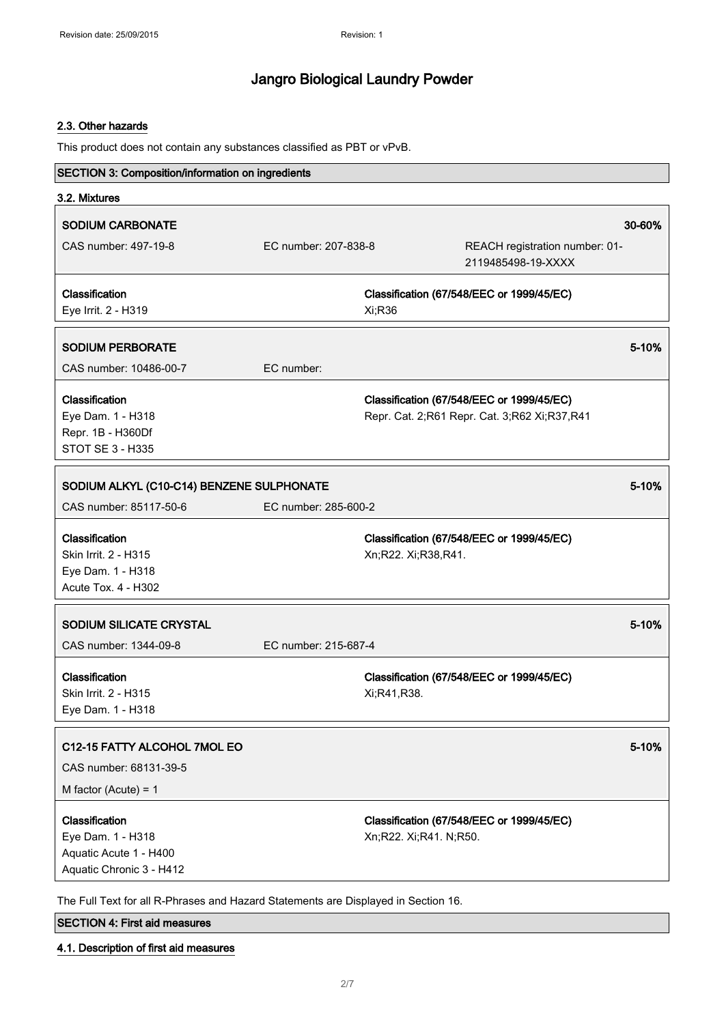#### 2.3. Other hazards

This product does not contain any substances classified as PBT or vPvB.

| <b>SECTION 3: Composition/information on ingredients</b>                                                                                                                        |                      |                        |                                                                                           |        |
|---------------------------------------------------------------------------------------------------------------------------------------------------------------------------------|----------------------|------------------------|-------------------------------------------------------------------------------------------|--------|
| 3.2. Mixtures                                                                                                                                                                   |                      |                        |                                                                                           |        |
| <b>SODIUM CARBONATE</b>                                                                                                                                                         |                      |                        |                                                                                           | 30-60% |
| CAS number: 497-19-8                                                                                                                                                            | EC number: 207-838-8 |                        | REACH registration number: 01-<br>2119485498-19-XXXX                                      |        |
| Classification<br>Eye Irrit. 2 - H319                                                                                                                                           |                      | Xi;R36                 | Classification (67/548/EEC or 1999/45/EC)                                                 |        |
| <b>SODIUM PERBORATE</b>                                                                                                                                                         |                      |                        |                                                                                           | 5-10%  |
| CAS number: 10486-00-7                                                                                                                                                          | EC number:           |                        |                                                                                           |        |
| Classification<br>Eye Dam. 1 - H318<br>Repr. 1B - H360Df<br><b>STOT SE 3 - H335</b>                                                                                             |                      |                        | Classification (67/548/EEC or 1999/45/EC)<br>Repr. Cat. 2;R61 Repr. Cat. 3;R62 Xi;R37,R41 |        |
| SODIUM ALKYL (C10-C14) BENZENE SULPHONATE                                                                                                                                       |                      |                        |                                                                                           | 5-10%  |
| CAS number: 85117-50-6                                                                                                                                                          | EC number: 285-600-2 |                        |                                                                                           |        |
| Classification<br>Skin Irrit. 2 - H315<br>Eye Dam. 1 - H318<br>Acute Tox. 4 - H302                                                                                              |                      | Xn;R22. Xi;R38,R41.    | Classification (67/548/EEC or 1999/45/EC)                                                 |        |
| SODIUM SILICATE CRYSTAL                                                                                                                                                         |                      |                        |                                                                                           | 5-10%  |
| CAS number: 1344-09-8                                                                                                                                                           | EC number: 215-687-4 |                        |                                                                                           |        |
| Classification<br>Skin Irrit. 2 - H315<br>Eye Dam. 1 - H318                                                                                                                     |                      | Xi;R41,R38.            | Classification (67/548/EEC or 1999/45/EC)                                                 |        |
| C12-15 FATTY ALCOHOL 7MOL EO<br>CAS number: 68131-39-5<br>M factor (Acute) = $1$                                                                                                |                      |                        |                                                                                           | 5-10%  |
| Classification<br>Eye Dam. 1 - H318<br>Aquatic Acute 1 - H400<br>Aquatic Chronic 3 - H412<br>The Full Text for all R-Phrases and Hazard Statements are Displayed in Section 16. |                      | Xn;R22. Xi;R41. N;R50. | Classification (67/548/EEC or 1999/45/EC)                                                 |        |

### SECTION 4: First aid measures

4.1. Description of first aid measures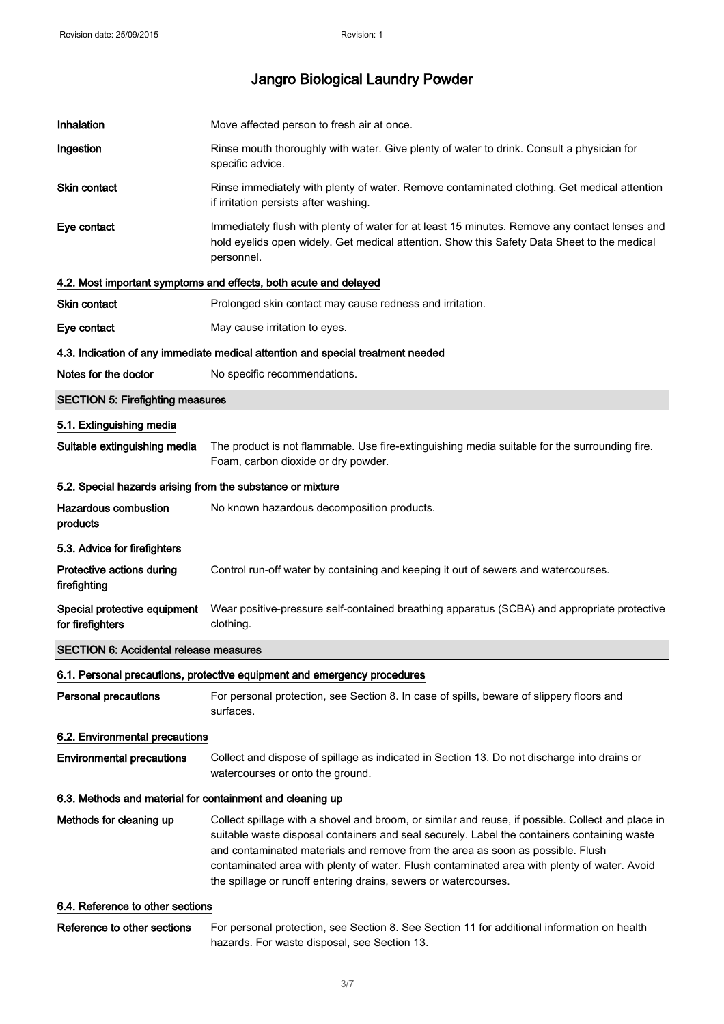| Inhalation                                                 | Move affected person to fresh air at once.                                                                                                                                                                                                                                                                                                                                                                                                           |
|------------------------------------------------------------|------------------------------------------------------------------------------------------------------------------------------------------------------------------------------------------------------------------------------------------------------------------------------------------------------------------------------------------------------------------------------------------------------------------------------------------------------|
| Ingestion                                                  | Rinse mouth thoroughly with water. Give plenty of water to drink. Consult a physician for<br>specific advice.                                                                                                                                                                                                                                                                                                                                        |
| <b>Skin contact</b>                                        | Rinse immediately with plenty of water. Remove contaminated clothing. Get medical attention<br>if irritation persists after washing.                                                                                                                                                                                                                                                                                                                 |
| Eye contact                                                | Immediately flush with plenty of water for at least 15 minutes. Remove any contact lenses and<br>hold eyelids open widely. Get medical attention. Show this Safety Data Sheet to the medical<br>personnel.                                                                                                                                                                                                                                           |
|                                                            | 4.2. Most important symptoms and effects, both acute and delayed                                                                                                                                                                                                                                                                                                                                                                                     |
| Skin contact                                               | Prolonged skin contact may cause redness and irritation.                                                                                                                                                                                                                                                                                                                                                                                             |
| Eye contact                                                | May cause irritation to eyes.                                                                                                                                                                                                                                                                                                                                                                                                                        |
|                                                            | 4.3. Indication of any immediate medical attention and special treatment needed                                                                                                                                                                                                                                                                                                                                                                      |
| Notes for the doctor                                       | No specific recommendations.                                                                                                                                                                                                                                                                                                                                                                                                                         |
| <b>SECTION 5: Firefighting measures</b>                    |                                                                                                                                                                                                                                                                                                                                                                                                                                                      |
| 5.1. Extinguishing media                                   |                                                                                                                                                                                                                                                                                                                                                                                                                                                      |
| Suitable extinguishing media                               | The product is not flammable. Use fire-extinguishing media suitable for the surrounding fire.<br>Foam, carbon dioxide or dry powder.                                                                                                                                                                                                                                                                                                                 |
| 5.2. Special hazards arising from the substance or mixture |                                                                                                                                                                                                                                                                                                                                                                                                                                                      |
| <b>Hazardous combustion</b><br>products                    | No known hazardous decomposition products.                                                                                                                                                                                                                                                                                                                                                                                                           |
| 5.3. Advice for firefighters                               |                                                                                                                                                                                                                                                                                                                                                                                                                                                      |
| Protective actions during<br>firefighting                  | Control run-off water by containing and keeping it out of sewers and watercourses.                                                                                                                                                                                                                                                                                                                                                                   |
| Special protective equipment<br>for firefighters           | Wear positive-pressure self-contained breathing apparatus (SCBA) and appropriate protective<br>clothing.                                                                                                                                                                                                                                                                                                                                             |
| <b>SECTION 6: Accidental release measures</b>              |                                                                                                                                                                                                                                                                                                                                                                                                                                                      |
|                                                            | 6.1. Personal precautions, protective equipment and emergency procedures                                                                                                                                                                                                                                                                                                                                                                             |
| <b>Personal precautions</b>                                | For personal protection, see Section 8. In case of spills, beware of slippery floors and<br>surfaces.                                                                                                                                                                                                                                                                                                                                                |
| 6.2. Environmental precautions                             |                                                                                                                                                                                                                                                                                                                                                                                                                                                      |
| <b>Environmental precautions</b>                           | Collect and dispose of spillage as indicated in Section 13. Do not discharge into drains or<br>watercourses or onto the ground.                                                                                                                                                                                                                                                                                                                      |
| 6.3. Methods and material for containment and cleaning up  |                                                                                                                                                                                                                                                                                                                                                                                                                                                      |
| Methods for cleaning up                                    | Collect spillage with a shovel and broom, or similar and reuse, if possible. Collect and place in<br>suitable waste disposal containers and seal securely. Label the containers containing waste<br>and contaminated materials and remove from the area as soon as possible. Flush<br>contaminated area with plenty of water. Flush contaminated area with plenty of water. Avoid<br>the spillage or runoff entering drains, sewers or watercourses. |
| 6.4. Reference to other sections                           |                                                                                                                                                                                                                                                                                                                                                                                                                                                      |
|                                                            |                                                                                                                                                                                                                                                                                                                                                                                                                                                      |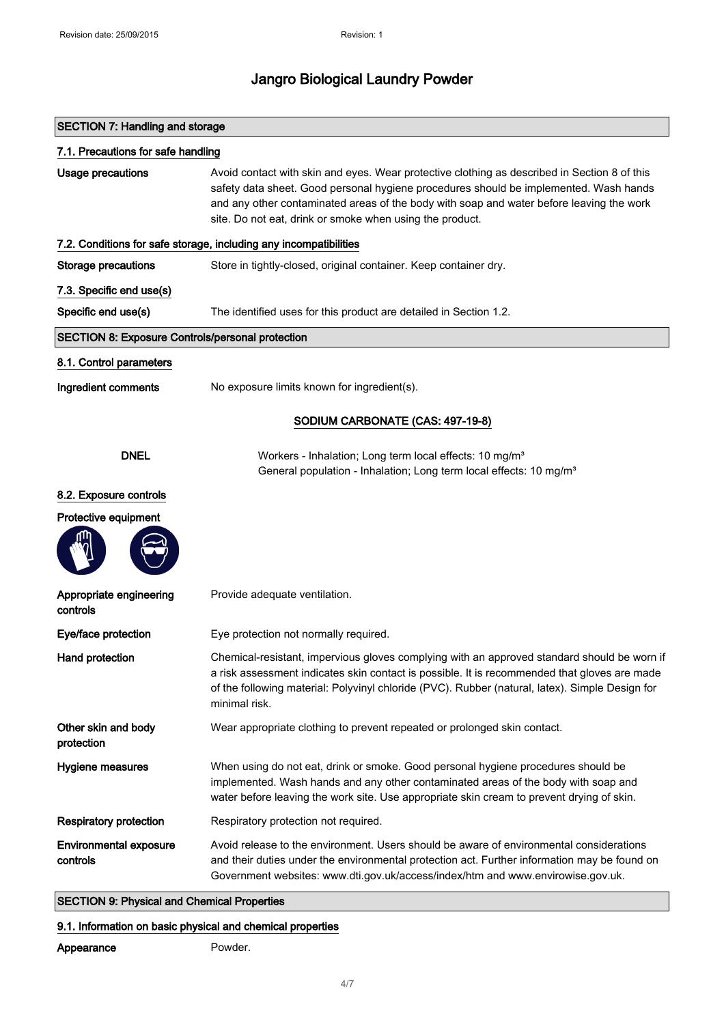| <b>SECTION 7: Handling and storage</b>                  |                                                                                                                                                                                                                                                                                                                                               |
|---------------------------------------------------------|-----------------------------------------------------------------------------------------------------------------------------------------------------------------------------------------------------------------------------------------------------------------------------------------------------------------------------------------------|
| 7.1. Precautions for safe handling                      |                                                                                                                                                                                                                                                                                                                                               |
| <b>Usage precautions</b>                                | Avoid contact with skin and eyes. Wear protective clothing as described in Section 8 of this<br>safety data sheet. Good personal hygiene procedures should be implemented. Wash hands<br>and any other contaminated areas of the body with soap and water before leaving the work<br>site. Do not eat, drink or smoke when using the product. |
|                                                         | 7.2. Conditions for safe storage, including any incompatibilities                                                                                                                                                                                                                                                                             |
| <b>Storage precautions</b>                              | Store in tightly-closed, original container. Keep container dry.                                                                                                                                                                                                                                                                              |
| 7.3. Specific end use(s)                                |                                                                                                                                                                                                                                                                                                                                               |
| Specific end use(s)                                     | The identified uses for this product are detailed in Section 1.2.                                                                                                                                                                                                                                                                             |
| <b>SECTION 8: Exposure Controls/personal protection</b> |                                                                                                                                                                                                                                                                                                                                               |
| 8.1. Control parameters                                 |                                                                                                                                                                                                                                                                                                                                               |
| Ingredient comments                                     | No exposure limits known for ingredient(s).                                                                                                                                                                                                                                                                                                   |
| SODIUM CARBONATE (CAS: 497-19-8)                        |                                                                                                                                                                                                                                                                                                                                               |
| <b>DNEL</b>                                             | Workers - Inhalation; Long term local effects: 10 mg/m <sup>3</sup><br>General population - Inhalation; Long term local effects: 10 mg/m <sup>3</sup>                                                                                                                                                                                         |
| 8.2. Exposure controls                                  |                                                                                                                                                                                                                                                                                                                                               |
| Protective equipment                                    |                                                                                                                                                                                                                                                                                                                                               |
|                                                         |                                                                                                                                                                                                                                                                                                                                               |
| Appropriate engineering<br>controls                     | Provide adequate ventilation.                                                                                                                                                                                                                                                                                                                 |
| Eye/face protection                                     | Eye protection not normally required.                                                                                                                                                                                                                                                                                                         |
| Hand protection                                         | Chemical-resistant, impervious gloves complying with an approved standard should be worn if<br>a risk assessment indicates skin contact is possible. It is recommended that gloves are made<br>of the following material: Polyvinyl chloride (PVC). Rubber (natural, latex). Simple Design for<br>minimal risk.                               |
| Other skin and body<br>protection                       | Wear appropriate clothing to prevent repeated or prolonged skin contact.                                                                                                                                                                                                                                                                      |
| Hygiene measures                                        | When using do not eat, drink or smoke. Good personal hygiene procedures should be<br>implemented. Wash hands and any other contaminated areas of the body with soap and<br>water before leaving the work site. Use appropriate skin cream to prevent drying of skin.                                                                          |
| <b>Respiratory protection</b>                           | Respiratory protection not required.                                                                                                                                                                                                                                                                                                          |
| <b>Environmental exposure</b><br>controls               | Avoid release to the environment. Users should be aware of environmental considerations<br>and their duties under the environmental protection act. Further information may be found on<br>Government websites: www.dti.gov.uk/access/index/htm and www.envirowise.gov.uk.                                                                    |

### SECTION 9: Physical and Chemical Properties

### 9.1. Information on basic physical and chemical properties

### Appearance Powder.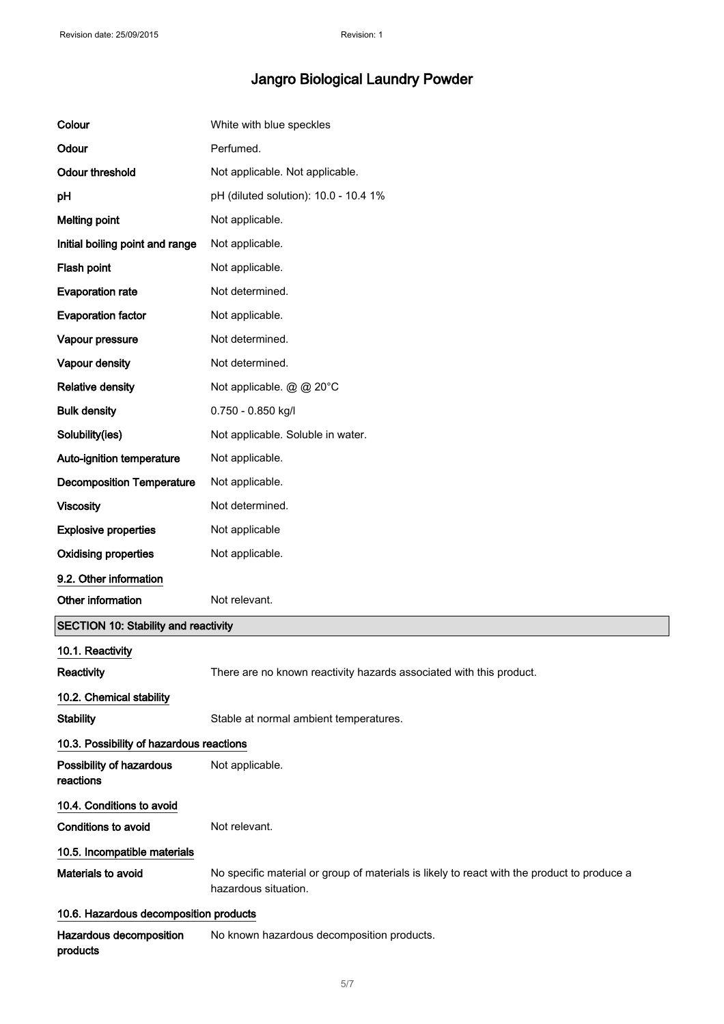| Colour                                   | White with blue speckles                                                                                            |
|------------------------------------------|---------------------------------------------------------------------------------------------------------------------|
| Odour                                    | Perfumed.                                                                                                           |
| <b>Odour threshold</b>                   | Not applicable. Not applicable.                                                                                     |
| pH                                       | pH (diluted solution): 10.0 - 10.4 1%                                                                               |
| <b>Melting point</b>                     | Not applicable.                                                                                                     |
| Initial boiling point and range          | Not applicable.                                                                                                     |
| Flash point                              | Not applicable.                                                                                                     |
| <b>Evaporation rate</b>                  | Not determined.                                                                                                     |
| <b>Evaporation factor</b>                | Not applicable.                                                                                                     |
| Vapour pressure                          | Not determined.                                                                                                     |
| Vapour density                           | Not determined.                                                                                                     |
| <b>Relative density</b>                  | Not applicable. @ @ 20°C                                                                                            |
| <b>Bulk density</b>                      | 0.750 - 0.850 kg/l                                                                                                  |
| Solubility(ies)                          | Not applicable. Soluble in water.                                                                                   |
| Auto-ignition temperature                | Not applicable.                                                                                                     |
| <b>Decomposition Temperature</b>         | Not applicable.                                                                                                     |
| <b>Viscosity</b>                         | Not determined.                                                                                                     |
| <b>Explosive properties</b>              | Not applicable                                                                                                      |
| <b>Oxidising properties</b>              | Not applicable.                                                                                                     |
| 9.2. Other information                   |                                                                                                                     |
| Other information                        | Not relevant.                                                                                                       |
| SECTION 10: Stability and reactivity     |                                                                                                                     |
| 10.1. Reactivity                         |                                                                                                                     |
| Reactivity                               | There are no known reactivity hazards associated with this product.                                                 |
| 10.2. Chemical stability                 |                                                                                                                     |
| <b>Stability</b>                         | Stable at normal ambient temperatures.                                                                              |
| 10.3. Possibility of hazardous reactions |                                                                                                                     |
| Possibility of hazardous<br>reactions    | Not applicable.                                                                                                     |
| 10.4. Conditions to avoid                |                                                                                                                     |
| Conditions to avoid                      | Not relevant.                                                                                                       |
| 10.5. Incompatible materials             |                                                                                                                     |
| Materials to avoid                       | No specific material or group of materials is likely to react with the product to produce a<br>hazardous situation. |
| 10.6. Hazardous decomposition products   |                                                                                                                     |
| Hazardous decomposition<br>products      | No known hazardous decomposition products.                                                                          |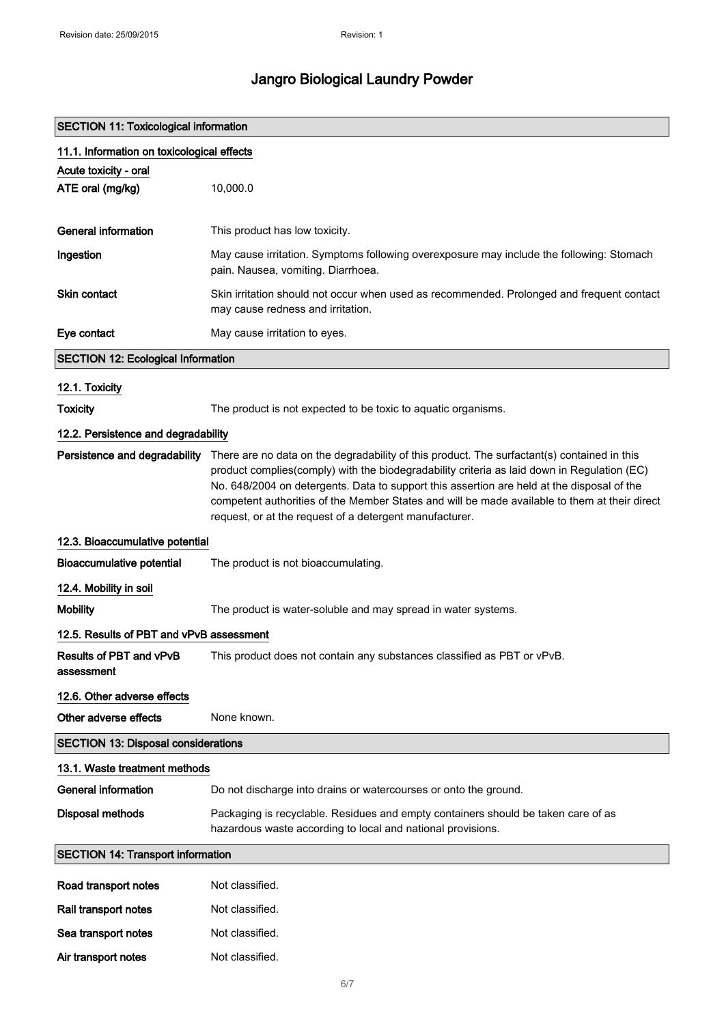### SECTION 11: Toxicological information

Air transport notes Mot classified.

| 11.1. Information on toxicological effects |                                                                                                                                                                                                                                                                                                                                                                                                                                                      |  |
|--------------------------------------------|------------------------------------------------------------------------------------------------------------------------------------------------------------------------------------------------------------------------------------------------------------------------------------------------------------------------------------------------------------------------------------------------------------------------------------------------------|--|
| Acute toxicity - oral                      |                                                                                                                                                                                                                                                                                                                                                                                                                                                      |  |
| ATE oral (mg/kg)                           | 10,000.0                                                                                                                                                                                                                                                                                                                                                                                                                                             |  |
|                                            |                                                                                                                                                                                                                                                                                                                                                                                                                                                      |  |
| <b>General information</b>                 | This product has low toxicity.                                                                                                                                                                                                                                                                                                                                                                                                                       |  |
| Ingestion                                  | May cause irritation. Symptoms following overexposure may include the following: Stomach<br>pain. Nausea, vomiting. Diarrhoea.                                                                                                                                                                                                                                                                                                                       |  |
| <b>Skin contact</b>                        | Skin irritation should not occur when used as recommended. Prolonged and frequent contact<br>may cause redness and irritation.                                                                                                                                                                                                                                                                                                                       |  |
| Eye contact                                | May cause irritation to eyes.                                                                                                                                                                                                                                                                                                                                                                                                                        |  |
| <b>SECTION 12: Ecological Information</b>  |                                                                                                                                                                                                                                                                                                                                                                                                                                                      |  |
| 12.1. Toxicity                             |                                                                                                                                                                                                                                                                                                                                                                                                                                                      |  |
| <b>Toxicity</b>                            | The product is not expected to be toxic to aquatic organisms.                                                                                                                                                                                                                                                                                                                                                                                        |  |
| 12.2. Persistence and degradability        |                                                                                                                                                                                                                                                                                                                                                                                                                                                      |  |
| Persistence and degradability              | There are no data on the degradability of this product. The surfactant(s) contained in this<br>product complies(comply) with the biodegradability criteria as laid down in Regulation (EC)<br>No. 648/2004 on detergents. Data to support this assertion are held at the disposal of the<br>competent authorities of the Member States and will be made available to them at their direct<br>request, or at the request of a detergent manufacturer. |  |
| 12.3. Bioaccumulative potential            |                                                                                                                                                                                                                                                                                                                                                                                                                                                      |  |
| <b>Bioaccumulative potential</b>           | The product is not bioaccumulating.                                                                                                                                                                                                                                                                                                                                                                                                                  |  |
| 12.4. Mobility in soil                     |                                                                                                                                                                                                                                                                                                                                                                                                                                                      |  |
| <b>Mobility</b>                            | The product is water-soluble and may spread in water systems.                                                                                                                                                                                                                                                                                                                                                                                        |  |
| 12.5. Results of PBT and vPvB assessment   |                                                                                                                                                                                                                                                                                                                                                                                                                                                      |  |
| Results of PBT and vPvB<br>assessment      | This product does not contain any substances classified as PBT or vPvB.                                                                                                                                                                                                                                                                                                                                                                              |  |
| 12.6. Other adverse effects                |                                                                                                                                                                                                                                                                                                                                                                                                                                                      |  |
| Other adverse effects                      | None known.                                                                                                                                                                                                                                                                                                                                                                                                                                          |  |
| <b>SECTION 13: Disposal considerations</b> |                                                                                                                                                                                                                                                                                                                                                                                                                                                      |  |
| 13.1. Waste treatment methods              |                                                                                                                                                                                                                                                                                                                                                                                                                                                      |  |
| <b>General information</b>                 | Do not discharge into drains or watercourses or onto the ground.                                                                                                                                                                                                                                                                                                                                                                                     |  |
| <b>Disposal methods</b>                    | Packaging is recyclable. Residues and empty containers should be taken care of as<br>hazardous waste according to local and national provisions.                                                                                                                                                                                                                                                                                                     |  |
| <b>SECTION 14: Transport information</b>   |                                                                                                                                                                                                                                                                                                                                                                                                                                                      |  |
| Road transport notes                       | Not classified.                                                                                                                                                                                                                                                                                                                                                                                                                                      |  |
| Rail transport notes                       | Not classified.                                                                                                                                                                                                                                                                                                                                                                                                                                      |  |
| Sea transport notes                        | Not classified.                                                                                                                                                                                                                                                                                                                                                                                                                                      |  |